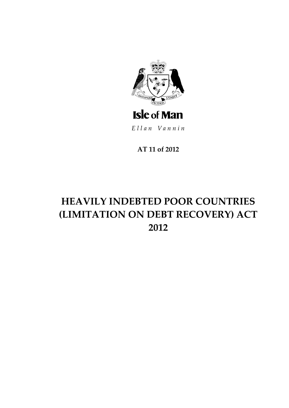

Ellan Vannin

AT 11 of 2012

# **HEAVILY INDEBTED POOR COUNTRIES** (LIMITATION ON DEBT RECOVERY) ACT 2012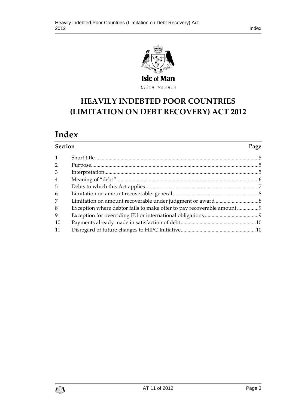

# **HEAVILY INDEBTED POO R COUNTRIES (LIMITATION ON DEBT RECOVERY) ACT 2012**

# **Index**

| <b>Section</b> |  | Page |
|----------------|--|------|
| $\mathbf{1}$   |  |      |
| 2              |  |      |
| 3              |  |      |
| 4              |  |      |
| 5              |  |      |
| 6              |  |      |
| 7              |  |      |
| 8              |  |      |
| 9              |  |      |
| 10             |  |      |
| 11             |  |      |

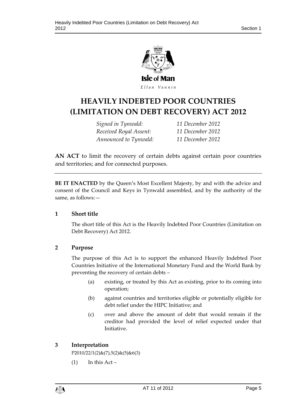

# **HEAVILY INDEBTED POO R COUNTRIES (LIMITATION ON DEBT RECOVERY) ACT 2012**

*Signed in Tynwald: 11 December 2012 Received Royal Assent: 11 December 2012 Announced to Tynwald: 11 December 2012*

**AN ACT** to limit the recovery of certain debts against certain poor countries and territories; and for connected purposes.

**BE IT ENACTED** by the Queen's Most Excellent Majesty, by and with the advice and consent of the Council and Keys in Tynwald assembled, and by the authority of the same, as follows:—

#### <span id="page-4-0"></span>**1 Short title**

The short title of this Act is the Heavily Indebted Poor Countries (Limitation on Debt Recovery) Act 2012.

## <span id="page-4-1"></span>**2 Purpose**

The purpose of this Act is to support the enhanced Heavily Indebted Poor Countries Initiative of the International Monetary Fund and the World Bank by preventing the recovery of certain debts –

- (a) existing, or treated by this Act as existing, prior to its coming into operation;
- (b) against countries and territories eligible or potentially eligible for debt relief under the HIPC Initiative; and
- (c) over and above the amount of debt that would remain if the creditor had provided the level of relief expected under that Initiative.

## <span id="page-4-2"></span>**3 Interpretation**

 $P2010/22/1(2)$ &(7),5(2)&(5)&6(3)

 $(1)$  In this Act –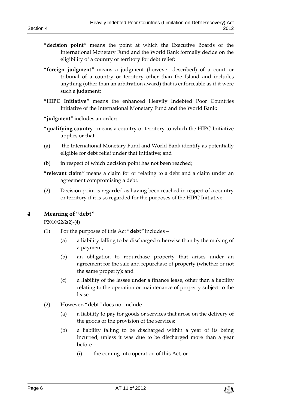- "**decision point**" means the point at which the Executive Boards of the International Monetary Fund and the World Bank formally decide on the eligibility of a country or territory for debt relief;
- "**foreign judgment**" means a judgment (however described) of a court or tribunal of a country or territory other than the Island and includes anything (other than an arbitration award) that is enforceable as if it were such a judgment;
- "**HIPC Initiative**" means the enhanced Heavily Indebted Poor Countries Initiative of the International Monetary Fund and the World Bank;

"**judgment**" includes an order;

- "**qualifying country**" means a country or territory to which the HIPC Initiative applies or that –
- (a) the International Monetary Fund and World Bank identify as potentially eligible for debt relief under that Initiative; and
- (b) in respect of which decision point has not been reached;

"**relevant claim**" means a claim for or relating to a debt and a claim under an agreement compromising a debt.

(2) Decision point is regarded as having been reached in respect of a country or territory if it is so regarded for the purposes of the HIPC Initiative.

#### <span id="page-5-0"></span>**4 Meaning of "debt"**

P2010/22/2(2)-(4)

- (1) For the purposes of this Act "**debt**" includes
	- (a) a liability falling to be discharged otherwise than by the making of a payment;
	- (b) an obligation to repurchase property that arises under an agreement for the sale and repurchase of property (whether or not the same property); and
	- (c) a liability of the lessee under a finance lease, other than a liability relating to the operation or maintenance of property subject to the lease.
- (2) However, "**debt**" does not include
	- (a) a liability to pay for goods or services that arose on the delivery of the goods or the provision of the services;
	- (b) a liability falling to be discharged within a year of its being incurred, unless it was due to be discharged more than a year before –
		- (i) the coming into operation of this Act; or

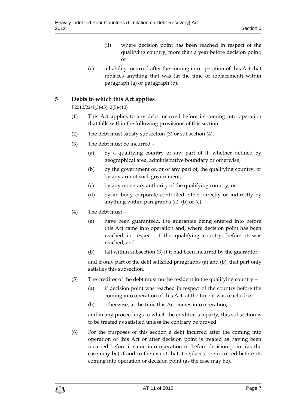- (ii) where decision point has been reached in respect of the qualifying country, more than a year before decision point; or
- (c) a liability incurred after the coming into operation of this Act that replaces anything that was (at the time of replacement) within paragraph (a) or paragraph (b).

#### <span id="page-6-0"></span>**5 Debts to which this Act applies**

P2010/22/1(3)-(5), 2(5)-(10)

- (1) This Act applies to any debt incurred before its coming into operation that falls within the following provisions of this section.
- (2) The debt must satisfy subsection (3) or subsection (4).
- (3) The debt must be incurred
	- (a) by a qualifying country or any part of it, whether defined by geographical area, administrative boundary or otherwise;
	- (b) by the government of, or of any part of, the qualifying country, or by any arm of such government;
	- (c) by any monetary authority of the qualifying country; or
	- (d) by an body corporate controlled either directly or indirectly by anything within paragraphs (a), (b) or (c).
- (4) The debt must
	- (a) have been guaranteed, the guarantee being entered into before this Act came into operation and, where decision point has been reached in respect of the qualifying country, before it was reached; and
	- (b) fall within subsection (3) if it had been incurred by the guarantor,

and if only part of the debt satisfied paragraphs (a) and (b), that part only satisfies this subsection.

- (5) The creditor of the debt must not be resident in the qualifying country
	- (a) if decision point was reached in respect of the country before the coming into operation of this Act, at the time it was reached; or
	- (b) otherwise, at the time this Act comes into operation,

and in any proceedings to which the creditor is a party, this subsection is to be treated as satisfied unless the contrary be proved.

(6) For the purposes of this section a debt incurred after the coming into operation of this Act or after decision point is treated as having been incurred before it came into operation or before decision point (as the case may be) if and to the extent that it replaces one incurred before its coming into operation or decision point (as the case may be).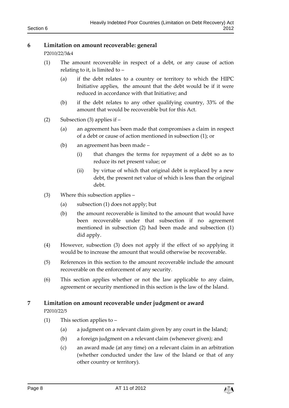#### <span id="page-7-0"></span>**6 Limitation on amount recoverable: general**

P2010/22/3&4

- (1) The amount recoverable in respect of a debt, or any cause of action relating to it, is limited to –
	- (a) if the debt relates to a country or territory to which the HIPC Initiative applies, the amount that the debt would be if it were reduced in accordance with that Initiative; and
	- (b) if the debt relates to any other qualifying country, 33% of the amount that would be recoverable but for this Act.
- (2) Subsection (3) applies if
	- (a) an agreement has been made that compromises a claim in respect of a debt or cause of action mentioned in subsection (1); or
	- (b) an agreement has been made
		- (i) that changes the terms for repayment of a debt so as to reduce its net present value; or
		- (ii) by virtue of which that original debt is replaced by a new debt, the present net value of which is less than the original debt.
- (3) Where this subsection applies
	- (a) subsection (1) does not apply; but
	- (b) the amount recoverable is limited to the amount that would have been recoverable under that subsection if no agreement mentioned in subsection (2) had been made and subsection (1) did apply.
- (4) However, subsection (3) does not apply if the effect of so applying it would be to increase the amount that would otherwise be recoverable.
- (5) References in this section to the amount recoverable include the amount recoverable on the enforcement of any security.
- (6) This section applies whether or not the law applicable to any claim, agreement or security mentioned in this section is the law of the Island.

## <span id="page-7-1"></span>**7 Limitation on amount recoverable under judgment or award**

P2010/22/5

- (1) This section applies to
	- (a) a judgment on a relevant claim given by any court in the Island;
	- (b) a foreign judgment on a relevant claim (whenever given); and
	- (c) an award made (at any time) on a relevant claim in an arbitration (whether conducted under the law of the Island or that of any other country or territory).

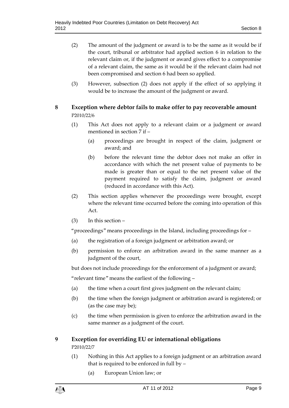- (2) The amount of the judgment or award is to be the same as it would be if the court, tribunal or arbitrator had applied section 6 in relation to the relevant claim or, if the judgment or award gives effect to a compromise of a relevant claim, the same as it would be if the relevant claim had not been compromised and section 6 had been so applied.
- (3) However, subsection (2) does not apply if the effect of so applying it would be to increase the amount of the judgment or award.

# <span id="page-8-0"></span>**8 Exception where debtor fails to make offer to pay recoverable amount** P2010/22/6

- (1) This Act does not apply to a relevant claim or a judgment or award mentioned in section 7 if –
	- (a) proceedings are brought in respect of the claim, judgment or award; and
	- (b) before the relevant time the debtor does not make an offer in accordance with which the net present value of payments to be made is greater than or equal to the net present value of the payment required to satisfy the claim, judgment or award (reduced in accordance with this Act).
- (2) This section applies whenever the proceedings were brought, except where the relevant time occurred before the coming into operation of this Act.
- (3) In this section –

"proceedings" means proceedings in the Island, including proceedings for –

- (a) the registration of a foreign judgment or arbitration award; or
- (b) permission to enforce an arbitration award in the same manner as a judgment of the court,

but does not include proceedings for the enforcement of a judgment or award;

"relevant time" means the earliest of the following –

- (a) the time when a court first gives judgment on the relevant claim;
- (b) the time when the foreign judgment or arbitration award is registered; or (as the case may be);
- (c) the time when permission is given to enforce the arbitration award in the same manner as a judgment of the court.

## <span id="page-8-1"></span>**9 Exception for overriding EU or international obligations** P2010/22/7

- (1) Nothing in this Act applies to a foreign judgment or an arbitration award that is required to be enforced in full by –
	- (a) European Union law; or